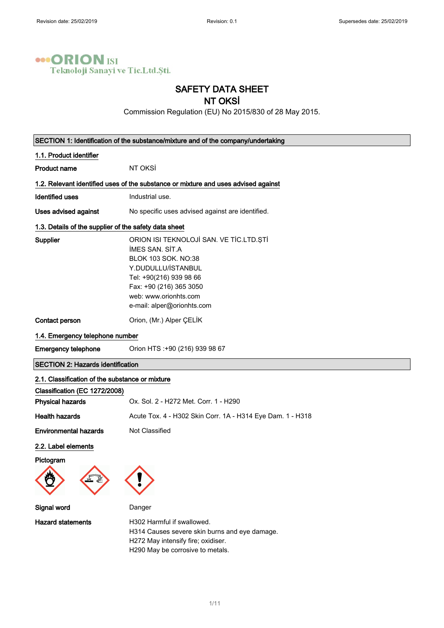

# SAFETY DATA SHEET

## NT OKSİ

Commission Regulation (EU) No 2015/830 of 28 May 2015.

| SECTION 1: Identification of the substance/mixture and of the company/undertaking |                                                                                                                                                                                                                                    |  |
|-----------------------------------------------------------------------------------|------------------------------------------------------------------------------------------------------------------------------------------------------------------------------------------------------------------------------------|--|
| 1.1. Product identifier                                                           |                                                                                                                                                                                                                                    |  |
| <b>Product name</b>                                                               | NT OKSİ                                                                                                                                                                                                                            |  |
|                                                                                   | 1.2. Relevant identified uses of the substance or mixture and uses advised against                                                                                                                                                 |  |
| <b>Identified uses</b>                                                            | Industrial use.                                                                                                                                                                                                                    |  |
| Uses advised against                                                              | No specific uses advised against are identified.                                                                                                                                                                                   |  |
| 1.3. Details of the supplier of the safety data sheet                             |                                                                                                                                                                                                                                    |  |
| Supplier                                                                          | ORION ISI TEKNOLOJİ SAN. VE TİC.LTD.ŞTİ<br><b>IMES SAN. SIT.A</b><br><b>BLOK 103 SOK. NO:38</b><br>Y.DUDULLU/İSTANBUL<br>Tel: +90(216) 939 98 66<br>Fax: +90 (216) 365 3050<br>web: www.orionhts.com<br>e-mail: alper@orionhts.com |  |
| Contact person                                                                    | Orion, (Mr.) Alper ÇELİK                                                                                                                                                                                                           |  |
| 1.4. Emergency telephone number                                                   |                                                                                                                                                                                                                                    |  |
| <b>Emergency telephone</b>                                                        | Orion HTS :+90 (216) 939 98 67                                                                                                                                                                                                     |  |
| <b>SECTION 2: Hazards identification</b>                                          |                                                                                                                                                                                                                                    |  |
| 2.1. Classification of the substance or mixture                                   |                                                                                                                                                                                                                                    |  |
| Classification (EC 1272/2008)                                                     |                                                                                                                                                                                                                                    |  |
| <b>Physical hazards</b>                                                           | Ox. Sol. 2 - H272 Met. Corr. 1 - H290                                                                                                                                                                                              |  |
| <b>Health hazards</b>                                                             | Acute Tox. 4 - H302 Skin Corr. 1A - H314 Eye Dam. 1 - H318                                                                                                                                                                         |  |
| <b>Environmental hazards</b>                                                      | Not Classified                                                                                                                                                                                                                     |  |
| 2.2. Label elements                                                               |                                                                                                                                                                                                                                    |  |
| Pictogram                                                                         |                                                                                                                                                                                                                                    |  |
| Signal word                                                                       | Danger                                                                                                                                                                                                                             |  |
| <b>Hazard statements</b>                                                          | H302 Harmful if swallowed.<br>H314 Causes severe skin burns and eye damage.<br>H272 May intensify fire; oxidiser.<br>H290 May be corrosive to metals.                                                                              |  |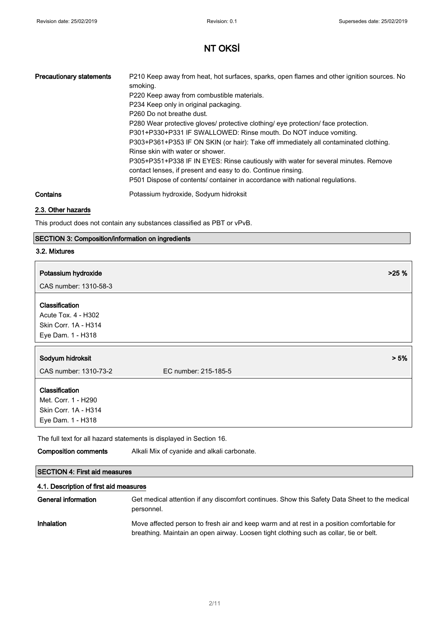| <b>Precautionary statements</b> | P210 Keep away from heat, hot surfaces, sparks, open flames and other ignition sources. No<br>smoking.                                             |
|---------------------------------|----------------------------------------------------------------------------------------------------------------------------------------------------|
|                                 | P220 Keep away from combustible materials.                                                                                                         |
|                                 | P234 Keep only in original packaging.                                                                                                              |
|                                 | P <sub>260</sub> Do not breathe dust.                                                                                                              |
|                                 | P280 Wear protective gloves/ protective clothing/ eye protection/ face protection.                                                                 |
|                                 | P301+P330+P331 IF SWALLOWED: Rinse mouth. Do NOT induce vomiting.                                                                                  |
|                                 | P303+P361+P353 IF ON SKIN (or hair): Take off immediately all contaminated clothing.                                                               |
|                                 | Rinse skin with water or shower.                                                                                                                   |
|                                 | P305+P351+P338 IF IN EYES: Rinse cautiously with water for several minutes. Remove<br>contact lenses, if present and easy to do. Continue rinsing. |
|                                 | P501 Dispose of contents/ container in accordance with national regulations.                                                                       |
| Contains                        | Potassium hydroxide, Sodyum hidroksit                                                                                                              |

### 2.3. Other hazards

This product does not contain any substances classified as PBT or vPvB.

### SECTION 3: Composition/information on ingredients

#### 3.2. Mixtures

| Potassium hydroxide                                                                | >25%                 |
|------------------------------------------------------------------------------------|----------------------|
| CAS number: 1310-58-3                                                              |                      |
| Classification<br>Acute Tox. 4 - H302<br>Skin Corr. 1A - H314<br>Eye Dam. 1 - H318 |                      |
| Sodyum hidroksit                                                                   | > 5%                 |
| CAS number: 1310-73-2                                                              | EC number: 215-185-5 |
| <b>Classification</b><br>Met. Corr. 1 - H290                                       |                      |
| Skin Corr. 1A - H314<br>Eye Dam. 1 - H318                                          |                      |

The full text for all hazard statements is displayed in Section 16.

Composition comments Alkali Mix of cyanide and alkali carbonate.

### SECTION 4: First aid measures

### 4.1. Description of first aid measures

| General information | Get medical attention if any discomfort continues. Show this Safety Data Sheet to the medical<br>personnel.                                                                         |
|---------------------|-------------------------------------------------------------------------------------------------------------------------------------------------------------------------------------|
| <b>Inhalation</b>   | Move affected person to fresh air and keep warm and at rest in a position comfortable for<br>breathing. Maintain an open airway. Loosen tight clothing such as collar, tie or belt. |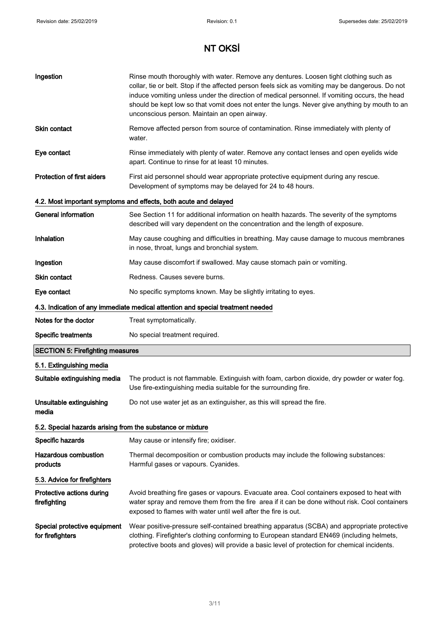| Ingestion                                                                       | Rinse mouth thoroughly with water. Remove any dentures. Loosen tight clothing such as<br>collar, tie or belt. Stop if the affected person feels sick as vomiting may be dangerous. Do not<br>induce vomiting unless under the direction of medical personnel. If vomiting occurs, the head<br>should be kept low so that vomit does not enter the lungs. Never give anything by mouth to an<br>unconscious person. Maintain an open airway. |  |
|---------------------------------------------------------------------------------|---------------------------------------------------------------------------------------------------------------------------------------------------------------------------------------------------------------------------------------------------------------------------------------------------------------------------------------------------------------------------------------------------------------------------------------------|--|
| <b>Skin contact</b>                                                             | Remove affected person from source of contamination. Rinse immediately with plenty of<br>water.                                                                                                                                                                                                                                                                                                                                             |  |
| Eye contact                                                                     | Rinse immediately with plenty of water. Remove any contact lenses and open eyelids wide<br>apart. Continue to rinse for at least 10 minutes.                                                                                                                                                                                                                                                                                                |  |
| <b>Protection of first aiders</b>                                               | First aid personnel should wear appropriate protective equipment during any rescue.<br>Development of symptoms may be delayed for 24 to 48 hours.                                                                                                                                                                                                                                                                                           |  |
|                                                                                 | 4.2. Most important symptoms and effects, both acute and delayed                                                                                                                                                                                                                                                                                                                                                                            |  |
| <b>General information</b>                                                      | See Section 11 for additional information on health hazards. The severity of the symptoms<br>described will vary dependent on the concentration and the length of exposure.                                                                                                                                                                                                                                                                 |  |
| Inhalation                                                                      | May cause coughing and difficulties in breathing. May cause damage to mucous membranes<br>in nose, throat, lungs and bronchial system.                                                                                                                                                                                                                                                                                                      |  |
| Ingestion                                                                       | May cause discomfort if swallowed. May cause stomach pain or vomiting.                                                                                                                                                                                                                                                                                                                                                                      |  |
| <b>Skin contact</b>                                                             | Redness. Causes severe burns.                                                                                                                                                                                                                                                                                                                                                                                                               |  |
| Eye contact                                                                     | No specific symptoms known. May be slightly irritating to eyes.                                                                                                                                                                                                                                                                                                                                                                             |  |
| 4.3. Indication of any immediate medical attention and special treatment needed |                                                                                                                                                                                                                                                                                                                                                                                                                                             |  |
| Notes for the doctor                                                            | Treat symptomatically.                                                                                                                                                                                                                                                                                                                                                                                                                      |  |
| <b>Specific treatments</b>                                                      | No special treatment required.                                                                                                                                                                                                                                                                                                                                                                                                              |  |
| <b>SECTION 5: Firefighting measures</b>                                         |                                                                                                                                                                                                                                                                                                                                                                                                                                             |  |
| 5.1. Extinguishing media                                                        |                                                                                                                                                                                                                                                                                                                                                                                                                                             |  |
| Suitable extinguishing media                                                    | The product is not flammable. Extinguish with foam, carbon dioxide, dry powder or water fog.<br>Use fire-extinguishing media suitable for the surrounding fire.                                                                                                                                                                                                                                                                             |  |
| Unsuitable extinguishing<br>media                                               | Do not use water jet as an extinguisher, as this will spread the fire.                                                                                                                                                                                                                                                                                                                                                                      |  |
| 5.2. Special hazards arising from the substance or mixture                      |                                                                                                                                                                                                                                                                                                                                                                                                                                             |  |
| Specific hazards                                                                | May cause or intensify fire; oxidiser.                                                                                                                                                                                                                                                                                                                                                                                                      |  |
| <b>Hazardous combustion</b><br>products                                         | Thermal decomposition or combustion products may include the following substances:<br>Harmful gases or vapours. Cyanides.                                                                                                                                                                                                                                                                                                                   |  |
| 5.3. Advice for firefighters                                                    |                                                                                                                                                                                                                                                                                                                                                                                                                                             |  |
| Protective actions during<br>firefighting                                       | Avoid breathing fire gases or vapours. Evacuate area. Cool containers exposed to heat with<br>water spray and remove them from the fire area if it can be done without risk. Cool containers<br>exposed to flames with water until well after the fire is out.                                                                                                                                                                              |  |
| Special protective equipment<br>for firefighters                                | Wear positive-pressure self-contained breathing apparatus (SCBA) and appropriate protective<br>clothing. Firefighter's clothing conforming to European standard EN469 (including helmets,<br>protective boots and gloves) will provide a basic level of protection for chemical incidents.                                                                                                                                                  |  |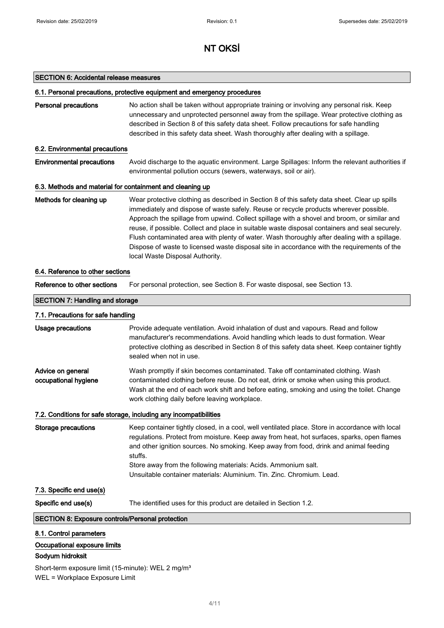#### SECTION 6: Accidental release measures

#### 6.1. Personal precautions, protective equipment and emergency procedures

| <b>Personal precautions</b> | No action shall be taken without appropriate training or involving any personal risk. Keep |  |
|-----------------------------|--------------------------------------------------------------------------------------------|--|
|                             | unnecessary and unprotected personnel away from the spillage. Wear protective clothing as  |  |
|                             | described in Section 8 of this safety data sheet. Follow precautions for safe handling     |  |
|                             | described in this safety data sheet. Wash thoroughly after dealing with a spillage.        |  |

#### 6.2. Environmental precautions

Environmental precautions Avoid discharge to the aquatic environment. Large Spillages: Inform the relevant authorities if environmental pollution occurs (sewers, waterways, soil or air).

#### 6.3. Methods and material for containment and cleaning up

Methods for cleaning up Wear protective clothing as described in Section 8 of this safety data sheet. Clear up spills immediately and dispose of waste safely. Reuse or recycle products wherever possible. Approach the spillage from upwind. Collect spillage with a shovel and broom, or similar and reuse, if possible. Collect and place in suitable waste disposal containers and seal securely. Flush contaminated area with plenty of water. Wash thoroughly after dealing with a spillage. Dispose of waste to licensed waste disposal site in accordance with the requirements of the local Waste Disposal Authority.

#### 6.4. Reference to other sections

Reference to other sections For personal protection, see Section 8. For waste disposal, see Section 13.

## SECTION 7: Handling and storage 7.1. Precautions for safe handling

| $\ldots$ , $\ldots$ , $\ldots$ , $\ldots$ , $\ldots$ , $\ldots$ , $\ldots$ , $\ldots$ , $\ldots$ , $\ldots$ , $\ldots$ |                                                                                                                                                                                                                                                                                                                                                                                                                                              |  |
|------------------------------------------------------------------------------------------------------------------------|----------------------------------------------------------------------------------------------------------------------------------------------------------------------------------------------------------------------------------------------------------------------------------------------------------------------------------------------------------------------------------------------------------------------------------------------|--|
| Usage precautions                                                                                                      | Provide adequate ventilation. Avoid inhalation of dust and vapours. Read and follow<br>manufacturer's recommendations. Avoid handling which leads to dust formation. Wear<br>protective clothing as described in Section 8 of this safety data sheet. Keep container tightly<br>sealed when not in use.                                                                                                                                      |  |
| Advice on general<br>occupational hygiene                                                                              | Wash promptly if skin becomes contaminated. Take off contaminated clothing. Wash<br>contaminated clothing before reuse. Do not eat, drink or smoke when using this product.<br>Wash at the end of each work shift and before eating, smoking and using the toilet. Change<br>work clothing daily before leaving workplace.                                                                                                                   |  |
| 7.2. Conditions for safe storage, including any incompatibilities                                                      |                                                                                                                                                                                                                                                                                                                                                                                                                                              |  |
| <b>Storage precautions</b>                                                                                             | Keep container tightly closed, in a cool, well ventilated place. Store in accordance with local<br>regulations. Protect from moisture. Keep away from heat, hot surfaces, sparks, open flames<br>and other ignition sources. No smoking. Keep away from food, drink and animal feeding<br>stuffs.<br>Store away from the following materials: Acids. Ammonium salt.<br>Unsuitable container materials: Aluminium, Tin, Zinc, Chromium, Lead. |  |
| 7.3. Specific end use(s)                                                                                               |                                                                                                                                                                                                                                                                                                                                                                                                                                              |  |
| Specific end use(s)                                                                                                    | The identified uses for this product are detailed in Section 1.2.                                                                                                                                                                                                                                                                                                                                                                            |  |
| <b>SECTION 8: Exposure controls/Personal protection</b>                                                                |                                                                                                                                                                                                                                                                                                                                                                                                                                              |  |
| 8.1. Control parameters<br>Occupational exposure limits<br>Sodyum hidroksit                                            |                                                                                                                                                                                                                                                                                                                                                                                                                                              |  |

Short-term exposure limit (15-minute): WEL 2 mg/m<sup>3</sup> WEL = Workplace Exposure Limit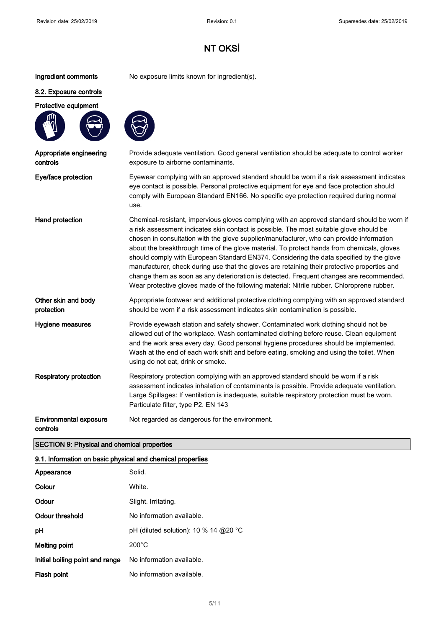Ingredient comments No exposure limits known for ingredient(s).

#### 8.2. Exposure controls

Protective equipment



Appropriate engineering

controls



Provide adequate ventilation. Good general ventilation should be adequate to control worker exposure to airborne contaminants.

Eye/face protection Eyewear complying with an approved standard should be worn if a risk assessment indicates eye contact is possible. Personal protective equipment for eye and face protection should comply with European Standard EN166. No specific eye protection required during normal use.

Hand protection **Chemical-resistant, impervious gloves complying with an approved standard should be worn if** a risk assessment indicates skin contact is possible. The most suitable glove should be chosen in consultation with the glove supplier/manufacturer, who can provide information about the breakthrough time of the glove material. To protect hands from chemicals, gloves should comply with European Standard EN374. Considering the data specified by the glove manufacturer, check during use that the gloves are retaining their protective properties and change them as soon as any deterioration is detected. Frequent changes are recommended. Wear protective gloves made of the following material: Nitrile rubber. Chloroprene rubber.

Other skin and body protection Appropriate footwear and additional protective clothing complying with an approved standard should be worn if a risk assessment indicates skin contamination is possible.

Hygiene measures Provide eyewash station and safety shower. Contaminated work clothing should not be allowed out of the workplace. Wash contaminated clothing before reuse. Clean equipment and the work area every day. Good personal hygiene procedures should be implemented. Wash at the end of each work shift and before eating, smoking and using the toilet. When using do not eat, drink or smoke.

Respiratory protection Respiratory protection complying with an approved standard should be worn if a risk assessment indicates inhalation of contaminants is possible. Provide adequate ventilation. Large Spillages: If ventilation is inadequate, suitable respiratory protection must be worn. Particulate filter, type P2. EN 143

Environmental exposure Not regarded as dangerous for the environment.

#### controls

SECTION 9: Physical and chemical properties

#### 9.1. Information on basic physical and chemical properties

| Appearance                      | Solid.                                |
|---------------------------------|---------------------------------------|
| Colour                          | White.                                |
| Odour                           | Slight. Irritating.                   |
| Odour threshold                 | No information available.             |
| рH                              | pH (diluted solution): 10 % 14 @20 °C |
| <b>Melting point</b>            | $200^{\circ}$ C                       |
| Initial boiling point and range | No information available.             |
| Flash point                     | No information available.             |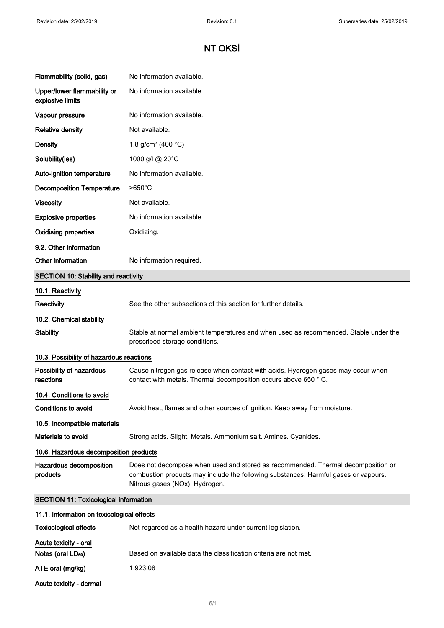| Flammability (solid, gas)                       | No information available.                                                                                                                                                                                 |  |
|-------------------------------------------------|-----------------------------------------------------------------------------------------------------------------------------------------------------------------------------------------------------------|--|
| Upper/lower flammability or<br>explosive limits | No information available.                                                                                                                                                                                 |  |
| Vapour pressure                                 | No information available.                                                                                                                                                                                 |  |
| <b>Relative density</b>                         | Not available.                                                                                                                                                                                            |  |
| <b>Density</b>                                  | 1,8 g/cm <sup>3</sup> (400 $^{\circ}$ C)                                                                                                                                                                  |  |
| Solubility(ies)                                 | 1000 g/l @ 20°C                                                                                                                                                                                           |  |
| Auto-ignition temperature                       | No information available.                                                                                                                                                                                 |  |
| <b>Decomposition Temperature</b>                | $>650^{\circ}$ C                                                                                                                                                                                          |  |
| <b>Viscosity</b>                                | Not available.                                                                                                                                                                                            |  |
| <b>Explosive properties</b>                     | No information available.                                                                                                                                                                                 |  |
| <b>Oxidising properties</b>                     | Oxidizing.                                                                                                                                                                                                |  |
| 9.2. Other information                          |                                                                                                                                                                                                           |  |
| Other information                               | No information required.                                                                                                                                                                                  |  |
| <b>SECTION 10: Stability and reactivity</b>     |                                                                                                                                                                                                           |  |
| 10.1. Reactivity                                |                                                                                                                                                                                                           |  |
| Reactivity                                      | See the other subsections of this section for further details.                                                                                                                                            |  |
| 10.2. Chemical stability                        |                                                                                                                                                                                                           |  |
| <b>Stability</b>                                | Stable at normal ambient temperatures and when used as recommended. Stable under the<br>prescribed storage conditions.                                                                                    |  |
| 10.3. Possibility of hazardous reactions        |                                                                                                                                                                                                           |  |
| Possibility of hazardous<br>reactions           | Cause nitrogen gas release when contact with acids. Hydrogen gases may occur when<br>contact with metals. Thermal decomposition occurs above 650 °C.                                                      |  |
| 10.4. Conditions to avoid                       |                                                                                                                                                                                                           |  |
| Conditions to avoid                             | Avoid heat, flames and other sources of ignition. Keep away from moisture.                                                                                                                                |  |
| 10.5. Incompatible materials                    |                                                                                                                                                                                                           |  |
| Materials to avoid                              | Strong acids. Slight. Metals. Ammonium salt. Amines. Cyanides.                                                                                                                                            |  |
| 10.6. Hazardous decomposition products          |                                                                                                                                                                                                           |  |
| Hazardous decomposition<br>products             | Does not decompose when used and stored as recommended. Thermal decomposition or<br>combustion products may include the following substances: Harmful gases or vapours.<br>Nitrous gases (NOx). Hydrogen. |  |
| <b>SECTION 11: Toxicological information</b>    |                                                                                                                                                                                                           |  |
| 11.1. Information on toxicological effects      |                                                                                                                                                                                                           |  |
| <b>Toxicological effects</b>                    | Not regarded as a health hazard under current legislation.                                                                                                                                                |  |
| Acute toxicity - oral                           |                                                                                                                                                                                                           |  |
| Notes (oral LD <sub>50</sub> )                  | Based on available data the classification criteria are not met.                                                                                                                                          |  |
| ATE oral (mg/kg)                                | 1,923.08                                                                                                                                                                                                  |  |
| Acute toxicity - dermal                         |                                                                                                                                                                                                           |  |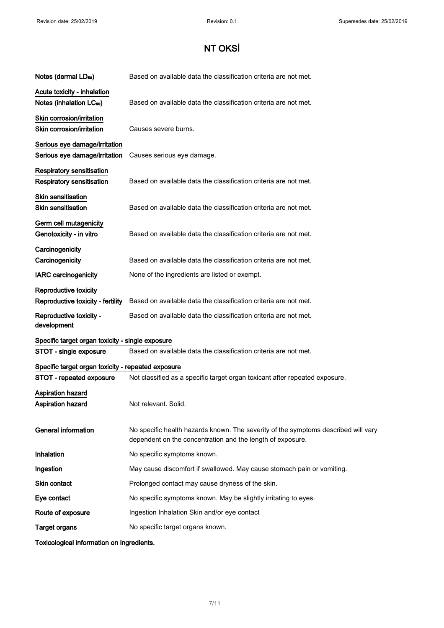| Notes (dermal LD <sub>50</sub> )                                     | Based on available data the classification criteria are not met.                                                                                 |
|----------------------------------------------------------------------|--------------------------------------------------------------------------------------------------------------------------------------------------|
| Acute toxicity - inhalation<br>Notes (inhalation LC <sub>50</sub> )  | Based on available data the classification criteria are not met.                                                                                 |
| Skin corrosion/irritation<br>Skin corrosion/irritation               | Causes severe burns.                                                                                                                             |
| Serious eye damage/irritation<br>Serious eye damage/irritation       | Causes serious eye damage.                                                                                                                       |
| <b>Respiratory sensitisation</b><br><b>Respiratory sensitisation</b> | Based on available data the classification criteria are not met.                                                                                 |
| <b>Skin sensitisation</b><br><b>Skin sensitisation</b>               | Based on available data the classification criteria are not met.                                                                                 |
| Germ cell mutagenicity<br>Genotoxicity - in vitro                    | Based on available data the classification criteria are not met.                                                                                 |
| Carcinogenicity<br>Carcinogenicity                                   | Based on available data the classification criteria are not met.                                                                                 |
| <b>IARC</b> carcinogenicity                                          | None of the ingredients are listed or exempt.                                                                                                    |
| Reproductive toxicity<br>Reproductive toxicity - fertility           | Based on available data the classification criteria are not met.                                                                                 |
| Reproductive toxicity -<br>development                               | Based on available data the classification criteria are not met.                                                                                 |
| Specific target organ toxicity - single exposure                     |                                                                                                                                                  |
| STOT - single exposure                                               | Based on available data the classification criteria are not met.                                                                                 |
| Specific target organ toxicity - repeated exposure                   |                                                                                                                                                  |
| STOT - repeated exposure                                             | Not classified as a specific target organ toxicant after repeated exposure.                                                                      |
| <b>Aspiration hazard</b><br>Aspiration hazard                        | Not relevant. Solid.                                                                                                                             |
| <b>General information</b>                                           | No specific health hazards known. The severity of the symptoms described will vary<br>dependent on the concentration and the length of exposure. |
| Inhalation                                                           | No specific symptoms known.                                                                                                                      |
| Ingestion                                                            | May cause discomfort if swallowed. May cause stomach pain or vomiting.                                                                           |
| Skin contact                                                         | Prolonged contact may cause dryness of the skin.                                                                                                 |
| Eye contact                                                          | No specific symptoms known. May be slightly irritating to eyes.                                                                                  |
| Route of exposure                                                    | Ingestion Inhalation Skin and/or eye contact                                                                                                     |
| <b>Target organs</b>                                                 | No specific target organs known.                                                                                                                 |
| Toxicological information on ingredients.                            |                                                                                                                                                  |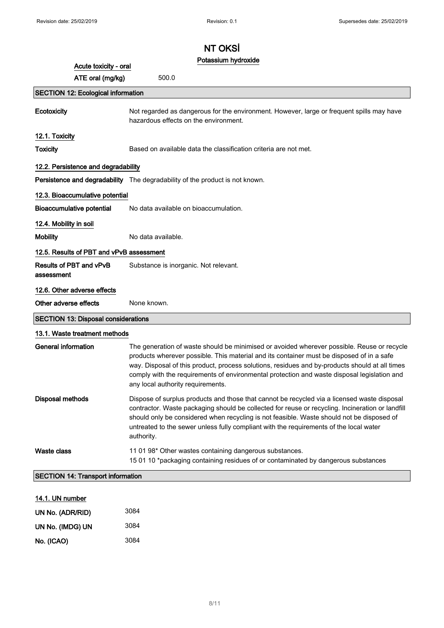### Potassium hydroxide

| Acute toxicity - oral                        | Potassium hydroxide                                                                                                                                                                                                                                                                                                                                                                                                           |  |
|----------------------------------------------|-------------------------------------------------------------------------------------------------------------------------------------------------------------------------------------------------------------------------------------------------------------------------------------------------------------------------------------------------------------------------------------------------------------------------------|--|
| ATE oral (mg/kg)                             | 500.0                                                                                                                                                                                                                                                                                                                                                                                                                         |  |
| <b>SECTION 12: Ecological information</b>    |                                                                                                                                                                                                                                                                                                                                                                                                                               |  |
| Ecotoxicity                                  | Not regarded as dangerous for the environment. However, large or frequent spills may have<br>hazardous effects on the environment.                                                                                                                                                                                                                                                                                            |  |
| 12.1. Toxicity                               |                                                                                                                                                                                                                                                                                                                                                                                                                               |  |
| <b>Toxicity</b>                              | Based on available data the classification criteria are not met.                                                                                                                                                                                                                                                                                                                                                              |  |
| 12.2. Persistence and degradability          |                                                                                                                                                                                                                                                                                                                                                                                                                               |  |
|                                              | Persistence and degradability The degradability of the product is not known.                                                                                                                                                                                                                                                                                                                                                  |  |
| 12.3. Bioaccumulative potential              |                                                                                                                                                                                                                                                                                                                                                                                                                               |  |
| <b>Bioaccumulative potential</b>             | No data available on bioaccumulation.                                                                                                                                                                                                                                                                                                                                                                                         |  |
| 12.4. Mobility in soil                       |                                                                                                                                                                                                                                                                                                                                                                                                                               |  |
| <b>Mobility</b>                              | No data available.                                                                                                                                                                                                                                                                                                                                                                                                            |  |
| 12.5. Results of PBT and vPvB assessment     |                                                                                                                                                                                                                                                                                                                                                                                                                               |  |
| <b>Results of PBT and vPvB</b><br>assessment | Substance is inorganic. Not relevant.                                                                                                                                                                                                                                                                                                                                                                                         |  |
| 12.6. Other adverse effects                  |                                                                                                                                                                                                                                                                                                                                                                                                                               |  |
| Other adverse effects                        | None known.                                                                                                                                                                                                                                                                                                                                                                                                                   |  |
| <b>SECTION 13: Disposal considerations</b>   |                                                                                                                                                                                                                                                                                                                                                                                                                               |  |
| 13.1. Waste treatment methods                |                                                                                                                                                                                                                                                                                                                                                                                                                               |  |
| <b>General information</b>                   | The generation of waste should be minimised or avoided wherever possible. Reuse or recycle<br>products wherever possible. This material and its container must be disposed of in a safe<br>way. Disposal of this product, process solutions, residues and by-products should at all times<br>comply with the requirements of environmental protection and waste disposal legislation and<br>any local authority requirements. |  |
| Disposal methods                             | Dispose of surplus products and those that cannot be recycled via a licensed waste disposal<br>contractor. Waste packaging should be collected for reuse or recycling. Incineration or landfill<br>should only be considered when recycling is not feasible. Waste should not be disposed of<br>untreated to the sewer unless fully compliant with the requirements of the local water<br>authority.                          |  |
| <b>Waste class</b>                           | 11 01 98* Other wastes containing dangerous substances.<br>15 01 10 *packaging containing residues of or contaminated by dangerous substances                                                                                                                                                                                                                                                                                 |  |
| <b>SECTION 14: Transport information</b>     |                                                                                                                                                                                                                                                                                                                                                                                                                               |  |
| 14.1. UN number                              |                                                                                                                                                                                                                                                                                                                                                                                                                               |  |
|                                              | 200/                                                                                                                                                                                                                                                                                                                                                                                                                          |  |

| UN No. (ADR/RID) | 3084 |
|------------------|------|
| UN No. (IMDG) UN | 3084 |
| No. (ICAO)       | 3084 |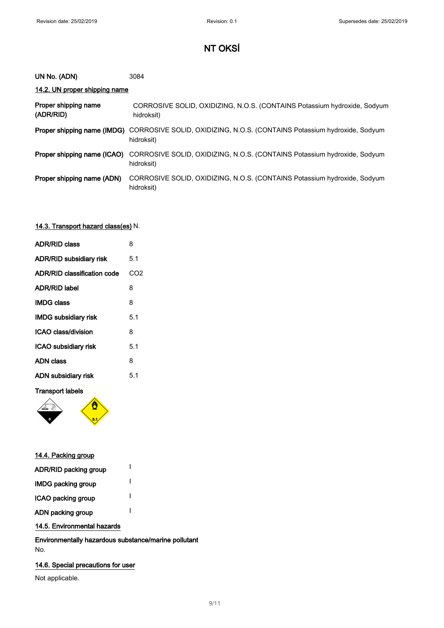#### 3084 UN No. (ADN)

### 14.2. UN proper shipping name

| Proper shipping name<br>(ADR/RID) | CORROSIVE SOLID, OXIDIZING, N.O.S. (CONTAINS Potassium hydroxide, Sodyum<br>hidroksit)                             |
|-----------------------------------|--------------------------------------------------------------------------------------------------------------------|
|                                   | Proper shipping name (IMDG) CORROSIVE SOLID, OXIDIZING, N.O.S. (CONTAINS Potassium hydroxide, Sodyum<br>hidroksit) |
| Proper shipping name (ICAO)       | CORROSIVE SOLID, OXIDIZING, N.O.S. (CONTAINS Potassium hydroxide, Sodyum<br>hidroksit)                             |
| Proper shipping name (ADN)        | CORROSIVE SOLID, OXIDIZING, N.O.S. (CONTAINS Potassium hydroxide, Sodyum<br>hidroksit)                             |

### 14.3. Transport hazard class(es) N.

| <b>ADR/RID class</b>           | 8               |
|--------------------------------|-----------------|
| <b>ADR/RID subsidiary risk</b> | 5.1             |
| ADR/RID classification code    | CO <sub>2</sub> |
| <b>ADR/RID label</b>           | 8               |
| <b>IMDG class</b>              | 8               |
| <b>IMDG subsidiary risk</b>    | 5.1             |
| ICAO class/division            | 8               |
| ICAO subsidiary risk           | 5.1             |
| <b>ADN class</b>               | 8               |
| ADN subsidiary risk            | 5.1             |

### Transport labels



| <u>14.4. Packing group</u> |  |
|----------------------------|--|
| ADR/RID packing group      |  |
| <b>IMDG packing group</b>  |  |
| ICAO packing group         |  |
| ADN packing group          |  |
|                            |  |

14.5. Environmental hazards

Environmentally hazardous substance/marine pollutant No.

### 14.6. Special precautions for user

Not applicable.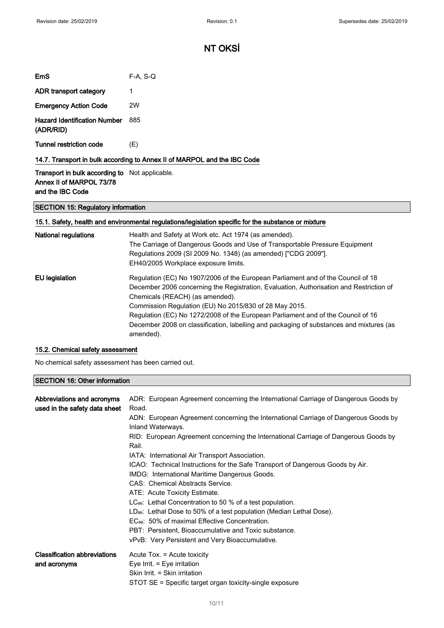| EmS                                                                      | $F-A. S-Q$ |
|--------------------------------------------------------------------------|------------|
| ADR transport category                                                   | 1          |
| <b>Emergency Action Code</b>                                             | 2W         |
| <b>Hazard Identification Number</b><br>(ADR/RID)                         | 885        |
| Tunnel restriction code                                                  | (E)        |
| 14.7. Transport in bulk according to Annex II of MARPOL and the IBC Code |            |

Transport in bulk according to Not applicable. Annex II of MARPOL 73/78 and the IBC Code

SECTION 15: Regulatory information

### 15.1. Safety, health and environmental regulations/legislation specific for the substance or mixture

| <b>National regulations</b> | Health and Safety at Work etc. Act 1974 (as amended).<br>The Carriage of Dangerous Goods and Use of Transportable Pressure Equipment<br>Regulations 2009 (SI 2009 No. 1348) (as amended) ["CDG 2009"].<br>EH40/2005 Workplace exposure limits.                           |
|-----------------------------|--------------------------------------------------------------------------------------------------------------------------------------------------------------------------------------------------------------------------------------------------------------------------|
| EU legislation              | Regulation (EC) No 1907/2006 of the European Parliament and of the Council of 18<br>December 2006 concerning the Registration, Evaluation, Authorisation and Restriction of<br>Chemicals (REACH) (as amended).<br>Commission Regulation (EU) No 2015/830 of 28 May 2015. |
|                             | Regulation (EC) No 1272/2008 of the European Parliament and of the Council of 16<br>December 2008 on classification, labelling and packaging of substances and mixtures (as<br>amended).                                                                                 |

#### 15.2. Chemical safety assessment

No chemical safety assessment has been carried out.

#### SECTION 16: Other information

| Abbreviations and acronyms<br>used in the safety data sheet | ADR: European Agreement concerning the International Carriage of Dangerous Goods by<br>Road.<br>ADN: European Agreement concerning the International Carriage of Dangerous Goods by<br>Inland Waterways.<br>RID: European Agreement concerning the International Carriage of Dangerous Goods by<br>Rail.<br>IATA: International Air Transport Association.<br>ICAO: Technical Instructions for the Safe Transport of Dangerous Goods by Air.<br>IMDG: International Maritime Dangerous Goods.<br>CAS: Chemical Abstracts Service.<br>ATE: Acute Toxicity Estimate.<br>$LC_{50}$ : Lethal Concentration to 50 % of a test population.<br>$LD_{50}$ : Lethal Dose to 50% of a test population (Median Lethal Dose).<br>EC <sub>50</sub> : 50% of maximal Effective Concentration.<br>PBT: Persistent. Bioaccumulative and Toxic substance. |
|-------------------------------------------------------------|------------------------------------------------------------------------------------------------------------------------------------------------------------------------------------------------------------------------------------------------------------------------------------------------------------------------------------------------------------------------------------------------------------------------------------------------------------------------------------------------------------------------------------------------------------------------------------------------------------------------------------------------------------------------------------------------------------------------------------------------------------------------------------------------------------------------------------------|
|                                                             | vPvB: Very Persistent and Very Bioaccumulative.                                                                                                                                                                                                                                                                                                                                                                                                                                                                                                                                                                                                                                                                                                                                                                                          |
| <b>Classification abbreviations</b><br>and acronyms         | Acute Tox. = Acute toxicity<br>Eye Irrit. $=$ Eye irritation<br>Skin Irrit. = Skin irritation<br>STOT SE = Specific target organ toxicity-single exposure                                                                                                                                                                                                                                                                                                                                                                                                                                                                                                                                                                                                                                                                                |